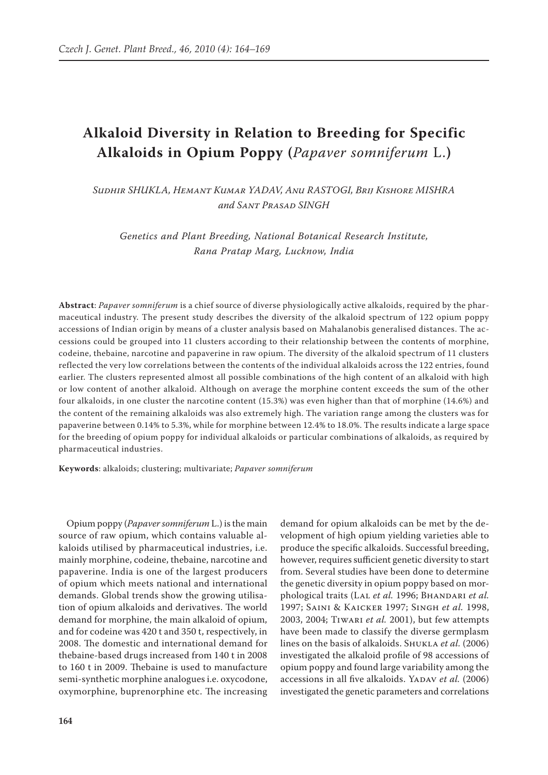## **Alkaloid Diversity in Relation to Breeding for Specific Alkaloids in Opium Poppy (***Papaver somniferum* L.**)**

*Sudhir Shukla, Hemant Kumar Yadav, Anu Rastogi, Brij Kishore Mishra and Sant Prasad Singh*

*Genetics and Plant Breeding, National Botanical Research Institute, Rana Pratap Marg, Lucknow, India*

**Abstract**: *Papaver somniferum* is a chief source of diverse physiologically active alkaloids, required by the pharmaceutical industry. The present study describes the diversity of the alkaloid spectrum of 122 opium poppy accessions of Indian origin by means of a cluster analysis based on Mahalanobis generalised distances. The accessions could be grouped into 11 clusters according to their relationship between the contents of morphine, codeine, thebaine, narcotine and papaverine in raw opium. The diversity of the alkaloid spectrum of 11 clusters reflected the very low correlations between the contents of the individual alkaloids across the 122 entries, found earlier. The clusters represented almost all possible combinations of the high content of an alkaloid with high or low content of another alkaloid. Although on average the morphine content exceeds the sum of the other four alkaloids, in one cluster the narcotine content (15.3%) was even higher than that of morphine (14.6%) and the content of the remaining alkaloids was also extremely high. The variation range among the clusters was for papaverine between 0.14% to 5.3%, while for morphine between 12.4% to 18.0%. The results indicate a large space for the breeding of opium poppy for individual alkaloids or particular combinations of alkaloids, as required by pharmaceutical industries.

**Keywords**: alkaloids; clustering; multivariate; *Papaver somniferum*

Opium poppy (*Papaver somniferum* L.) is the main source of raw opium, which contains valuable alkaloids utilised by pharmaceutical industries, i.e. mainly morphine, codeine, thebaine, narcotine and papaverine. India is one of the largest producers of opium which meets national and international demands. Global trends show the growing utilisation of opium alkaloids and derivatives. The world demand for morphine, the main alkaloid of opium, and for codeine was 420 t and 350 t, respectively, in 2008. The domestic and international demand for thebaine-based drugs increased from 140 t in 2008 to 160 t in 2009. Thebaine is used to manufacture semi-synthetic morphine analogues i.e. oxycodone, oxymorphine, buprenorphine etc. The increasing

demand for opium alkaloids can be met by the development of high opium yielding varieties able to produce the specific alkaloids. Successful breeding, however, requires sufficient genetic diversity to start from. Several studies have been done to determine the genetic diversity in opium poppy based on morphological traits (Lal *et al.* 1996; Bhandari *et al.* 1997; Saini & Kaicker 1997; Singh *et al.* 1998, 2003, 2004; Tiwari *et al.* 2001), but few attempts have been made to classify the diverse germplasm lines on the basis of alkaloids. Shukla *et al.* (2006) investigated the alkaloid profile of 98 accessions of opium poppy and found large variability among the accessions in all five alkaloids. YADAV et al. (2006) investigated the genetic parameters and correlations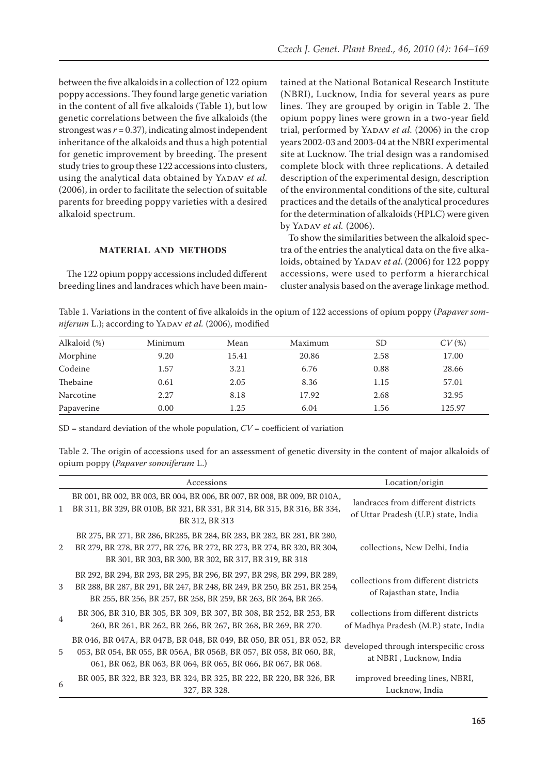between the five alkaloids in a collection of 122 opium poppy accessions. They found large genetic variation in the content of all five alkaloids (Table 1), but low genetic correlations between the five alkaloids (the strongest was  $r = 0.37$ ), indicating almost independent inheritance of the alkaloids and thus a high potential for genetic improvement by breeding. The present study tries to group these 122 accessions into clusters, using the analytical data obtained by YADAV *et al.* (2006), in order to facilitate the selection of suitable parents for breeding poppy varieties with a desired alkaloid spectrum.

tained at the National Botanical Research Institute (NBRI), Lucknow, India for several years as pure lines. They are grouped by origin in Table 2. The opium poppy lines were grown in a two-year field trial, performed by YADAV et al. (2006) in the crop years 2002-03 and 2003-04 at the NBRI experimental site at Lucknow. The trial design was a randomised complete block with three replications. A detailed description of the experimental design, description of the environmental conditions of the site, cultural practices and the details of the analytical procedures for the determination of alkaloids (HPLC) were given by YADAV *et al.* (2006).

## **MATERIAL AND METHODS**

The 122 opium poppy accessions included different breeding lines and landraces which have been main-

To show the similarities between the alkaloid spectra of the entries the analytical data on the five alkaloids, obtained by YADAV *et al.* (2006) for 122 poppy accessions, were used to perform a hierarchical cluster analysis based on the average linkage method.

Table 1. Variations in the content of five alkaloids in the opium of 122 accessions of opium poppy (*Papaver somniferum* L.); according to YADAV *et al.* (2006), modified

| Alkaloid (%) | Minimum | Mean  | Maximum | <b>SD</b> | CV(%)  |
|--------------|---------|-------|---------|-----------|--------|
| Morphine     | 9.20    | 15.41 | 20.86   | 2.58      | 17.00  |
| Codeine      | 1.57    | 3.21  | 6.76    | 0.88      | 28.66  |
| Thebaine     | 0.61    | 2.05  | 8.36    | 1.15      | 57.01  |
| Narcotine    | 2.27    | 8.18  | 17.92   | 2.68      | 32.95  |
| Papaverine   | 0.00    | 1.25  | 6.04    | 1.56      | 125.97 |

SD = standard deviation of the whole population, *CV* = coefficient of variation

Table 2. The origin of accessions used for an assessment of genetic diversity in the content of major alkaloids of opium poppy (*Papaver somniferum* L.)

|                | Accessions                                                                                                                                                                                                            | Location/origin                                                               |
|----------------|-----------------------------------------------------------------------------------------------------------------------------------------------------------------------------------------------------------------------|-------------------------------------------------------------------------------|
| 1              | BR 001, BR 002, BR 003, BR 004, BR 006, BR 007, BR 008, BR 009, BR 010A,<br>BR 311, BR 329, BR 010B, BR 321, BR 331, BR 314, BR 315, BR 316, BR 334,<br>BR 312, BR 313                                                | landraces from different districts<br>of Uttar Pradesh (U.P.) state, India    |
| 2              | BR 275, BR 271, BR 286, BR285, BR 284, BR 283, BR 282, BR 281, BR 280,<br>BR 279, BR 278, BR 277, BR 276, BR 272, BR 273, BR 274, BR 320, BR 304,<br>BR 301, BR 303, BR 300, BR 302, BR 317, BR 319, BR 318           | collections, New Delhi, India                                                 |
| 3              | BR 292, BR 294, BR 293, BR 295, BR 296, BR 297, BR 298, BR 299, BR 289,<br>BR 288, BR 287, BR 291, BR 247, BR 248, BR 249, BR 250, BR 251, BR 254,<br>BR 255, BR 256, BR 257, BR 258, BR 259, BR 263, BR 264, BR 265. | collections from different districts<br>of Rajasthan state, India             |
| $\overline{4}$ | BR 306, BR 310, BR 305, BR 309, BR 307, BR 308, BR 252, BR 253, BR<br>260, BR 261, BR 262, BR 266, BR 267, BR 268, BR 269, BR 270.                                                                                    | collections from different districts<br>of Madhya Pradesh (M.P.) state, India |
| 5              | BR 046, BR 047A, BR 047B, BR 048, BR 049, BR 050, BR 051, BR 052, BR<br>053, BR 054, BR 055, BR 056A, BR 056B, BR 057, BR 058, BR 060, BR,<br>061, BR 062, BR 063, BR 064, BR 065, BR 066, BR 067, BR 068.            | developed through interspecific cross<br>at NBRI, Lucknow, India              |
| 6              | BR 005, BR 322, BR 323, BR 324, BR 325, BR 222, BR 220, BR 326, BR<br>327, BR 328.                                                                                                                                    | improved breeding lines, NBRI,<br>Lucknow, India                              |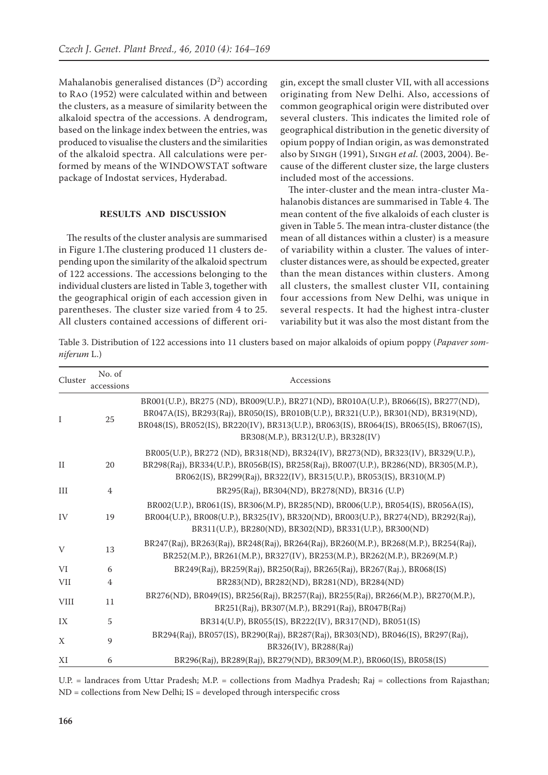Mahalanobis generalised distances  $(D^2)$  according to Rao (1952) were calculated within and between the clusters, as a measure of similarity between the alkaloid spectra of the accessions. A dendrogram, based on the linkage index between the entries, was produced to visualise the clusters and the similarities of the alkaloid spectra. All calculations were performed by means of the WINDOWSTAT software package of Indostat services, Hyderabad.

## **RESULTS AND DISCUSSION**

The results of the cluster analysis are summarised in Figure 1.The clustering produced 11 clusters depending upon the similarity of the alkaloid spectrum of 122 accessions. The accessions belonging to the individual clusters are listed in Table 3, together with the geographical origin of each accession given in parentheses. The cluster size varied from 4 to 25. All clusters contained accessions of different ori-

gin, except the small cluster VII, with all accessions originating from New Delhi. Also, accessions of common geographical origin were distributed over several clusters. This indicates the limited role of geographical distribution in the genetic diversity of opium poppy of Indian origin, as was demonstrated also by Singh (1991), Singh *et al.* (2003, 2004). Because of the different cluster size, the large clusters included most of the accessions.

The inter-cluster and the mean intra-cluster Mahalanobis distances are summarised in Table 4. The mean content of the five alkaloids of each cluster is given in Table 5. The mean intra-cluster distance (the mean of all distances within a cluster) is a measure of variability within a cluster. The values of intercluster distances were, as should be expected, greater than the mean distances within clusters. Among all clusters, the smallest cluster VII, containing four accessions from New Delhi, was unique in several respects. It had the highest intra-cluster variability but it was also the most distant from the

Table 3. Distribution of 122 accessions into 11 clusters based on major alkaloids of opium poppy (*Papaver somniferum* L.)

| Cluster     | No. of<br>accessions | Accessions                                                                                                                                                                                                                                                                                                      |
|-------------|----------------------|-----------------------------------------------------------------------------------------------------------------------------------------------------------------------------------------------------------------------------------------------------------------------------------------------------------------|
| I           | 25                   | BR001(U.P.), BR275 (ND), BR009(U.P.), BR271(ND), BR010A(U.P.), BR066(IS), BR277(ND),<br>BR047A(IS), BR293(Raj), BR050(IS), BR010B(U.P.), BR321(U.P.), BR301(ND), BR319(ND),<br>BR048(IS), BR052(IS), BR220(IV), BR313(U.P.), BR063(IS), BR064(IS), BR065(IS), BR067(IS),<br>BR308(M.P.), BR312(U.P.), BR328(IV) |
| $\rm II$    | 20                   | BR005(U.P.), BR272 (ND), BR318(ND), BR324(IV), BR273(ND), BR323(IV), BR329(U.P.),<br>BR298(Raj), BR334(U.P.), BR056B(IS), BR258(Raj), BR007(U.P.), BR286(ND), BR305(M.P.),<br>BR062(IS), BR299(Raj), BR322(IV), BR315(U.P.), BR053(IS), BR310(M.P)                                                              |
| III         | 4                    | BR295(Raj), BR304(ND), BR278(ND), BR316 (U.P)                                                                                                                                                                                                                                                                   |
| IV          | 19                   | BR002(U.P.), BR061(IS), BR306(M.P), BR285(ND), BR006(U.P.), BR054(IS), BR056A(IS),<br>BR004(U.P.), BR008(U.P.), BR325(IV), BR320(ND), BR003(U.P.), BR274(ND), BR292(Raj),<br>BR311(U.P.), BR280(ND), BR302(ND), BR331(U.P.), BR300(ND)                                                                          |
| V           | 13                   | BR247(Raj), BR263(Raj), BR248(Raj), BR264(Raj), BR260(M.P.), BR268(M.P.), BR254(Raj),<br>BR252(M.P.), BR261(M.P.), BR327(IV), BR253(M.P.), BR262(M.P.), BR269(M.P.)                                                                                                                                             |
| VI          | 6                    | BR249(Raj), BR259(Raj), BR250(Raj), BR265(Raj), BR267(Raj.), BR068(IS)                                                                                                                                                                                                                                          |
| <b>VII</b>  | 4                    | BR283(ND), BR282(ND), BR281(ND), BR284(ND)                                                                                                                                                                                                                                                                      |
| <b>VIII</b> | 11                   | BR276(ND), BR049(IS), BR256(Raj), BR257(Raj), BR255(Raj), BR266(M.P.), BR270(M.P.),<br>BR251(Raj), BR307(M.P.), BR291(Raj), BR047B(Raj)                                                                                                                                                                         |
| IX          | 5                    | BR314(U.P), BR055(IS), BR222(IV), BR317(ND), BR051(IS)                                                                                                                                                                                                                                                          |
| X           | 9                    | BR294(Raj), BR057(IS), BR290(Raj), BR287(Raj), BR303(ND), BR046(IS), BR297(Raj),<br>BR326(IV), BR288(Raj)                                                                                                                                                                                                       |
| XI          | 6                    | BR296(Raj), BR289(Raj), BR279(ND), BR309(M.P.), BR060(IS), BR058(IS)                                                                                                                                                                                                                                            |

U.P. = landraces from Uttar Pradesh; M.P. = collections from Madhya Pradesh; Raj = collections from Rajasthan; ND = collections from New Delhi; IS = developed through interspecific cross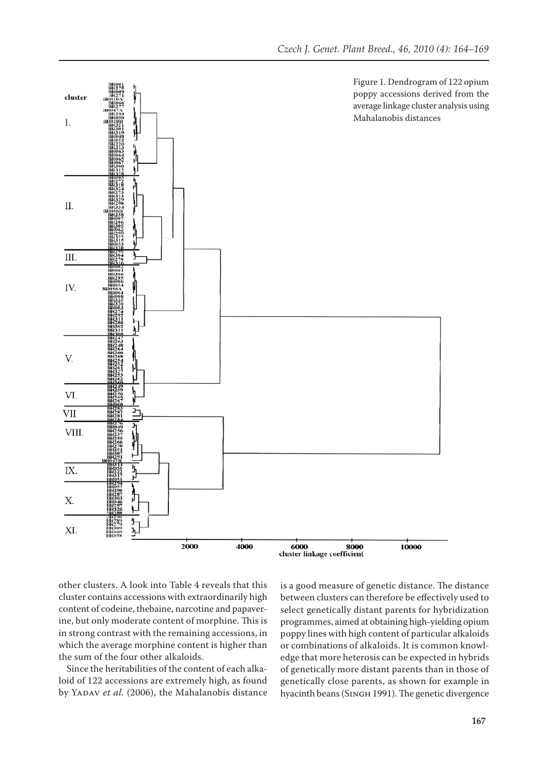

other clusters. A look into Table 4 reveals that this cluster contains accessions with extraordinarily high content of codeine, thebaine, narcotine and papaverine, but only moderate content of morphine. This is in strong contrast with the remaining accessions, in which the average morphine content is higher than the sum of the four other alkaloids.

Since the heritabilities of the content of each alkaloid of 122 accessions are extremely high, as found by YADAV *et al.* (2006), the Mahalanobis distance is a good measure of genetic distance. The distance between clusters can therefore be effectively used to select genetically distant parents for hybridization programmes, aimed at obtaining high-yielding opium poppy lines with high content of particular alkaloids or combinations of alkaloids. It is common knowledge that more heterosis can be expected in hybrids of genetically more distant parents than in those of genetically close parents, as shown for example in hyacinth beans (Singh 1991). The genetic divergence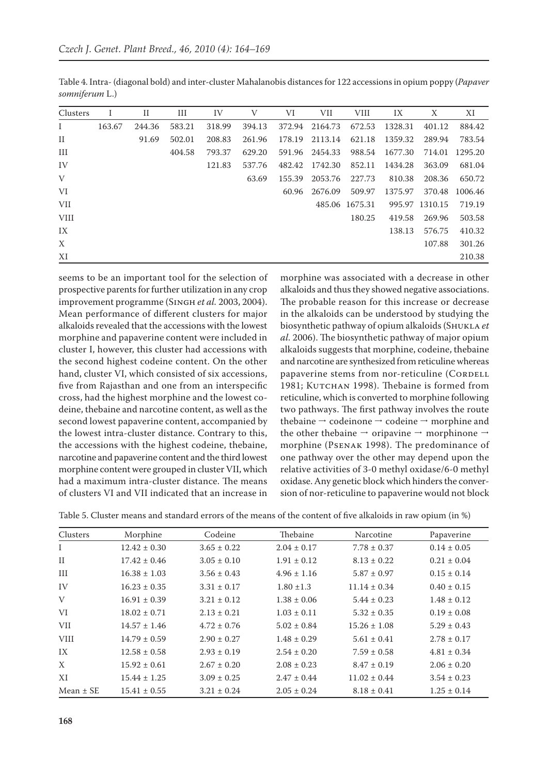| Clusters     | 1      | П      | Ш      | IV     | V      | VI     | VII     | <b>VIII</b>    | IX      | X              | XI      |
|--------------|--------|--------|--------|--------|--------|--------|---------|----------------|---------|----------------|---------|
| $\bf{I}$     | 163.67 | 244.36 | 583.21 | 318.99 | 394.13 | 372.94 | 2164.73 | 672.53         | 1328.31 | 401.12         | 884.42  |
| $\rm II$     |        | 91.69  | 502.01 | 208.83 | 261.96 | 178.19 | 2113.14 | 621.18         | 1359.32 | 289.94         | 783.54  |
| Ш            |        |        | 404.58 | 793.37 | 629.20 | 591.96 | 2454.33 | 988.54         | 1677.30 | 714.01         | 1295.20 |
| IV           |        |        |        | 121.83 | 537.76 | 482.42 | 1742.30 | 852.11         | 1434.28 | 363.09         | 681.04  |
| $\mathbf{V}$ |        |        |        |        | 63.69  | 155.39 | 2053.76 | 227.73         | 810.38  | 208.36         | 650.72  |
| VI           |        |        |        |        |        | 60.96  | 2676.09 | 509.97         | 1375.97 | 370.48         | 1006.46 |
| <b>VII</b>   |        |        |        |        |        |        |         | 485.06 1675.31 |         | 995.97 1310.15 | 719.19  |
| <b>VIII</b>  |        |        |        |        |        |        |         | 180.25         | 419.58  | 269.96         | 503.58  |
| IX           |        |        |        |        |        |        |         |                | 138.13  | 576.75         | 410.32  |
| X            |        |        |        |        |        |        |         |                |         | 107.88         | 301.26  |
| XI           |        |        |        |        |        |        |         |                |         |                | 210.38  |

Table 4. Intra- (diagonal bold) and inter-cluster Mahalanobis distances for 122 accessions in opium poppy (*Papaver somniferum* L.)

seems to be an important tool for the selection of prospective parents for further utilization in any crop improvement programme (Singh *et al.* 2003, 2004). Mean performance of different clusters for major alkaloids revealed that the accessions with the lowest morphine and papaverine content were included in cluster I, however, this cluster had accessions with the second highest codeine content. On the other hand, cluster VI, which consisted of six accessions, five from Rajasthan and one from an interspecific cross, had the highest morphine and the lowest codeine, thebaine and narcotine content, as well as the second lowest papaverine content, accompanied by the lowest intra-cluster distance. Contrary to this, the accessions with the highest codeine, thebaine, narcotine and papaverine content and the third lowest morphine content were grouped in cluster VII, which had a maximum intra-cluster distance. The means of clusters VI and VII indicated that an increase in

morphine was associated with a decrease in other alkaloids and thus they showed negative associations. The probable reason for this increase or decrease in the alkaloids can be understood by studying the biosynthetic pathway of opium alkaloids (Shukla *et al.* 2006). The biosynthetic pathway of major opium alkaloids suggests that morphine, codeine, thebaine and narcotine are synthesized from reticuline whereas papaverine stems from nor-reticuline (CORDELL 1981; Китснам 1998). Thebaine is formed from reticuline, which is converted to morphine following two pathways. The first pathway involves the route thebaine  $\rightarrow$  codeinone  $\rightarrow$  codeine  $\rightarrow$  morphine and the other the<br>baine  $\rightarrow$  oripavine  $\rightarrow$  morphinone<br>  $\rightarrow$ morphine (Psenak 1998). The predominance of one pathway over the other may depend upon the relative activities of 3-0 methyl oxidase/6-0 methyl oxidase. Any genetic block which hinders the conversion of nor-reticuline to papaverine would not block

| Table 5. Cluster means and standard errors of the means of the content of five alkaloids in raw opium (in %) |  |  |  |
|--------------------------------------------------------------------------------------------------------------|--|--|--|
|--------------------------------------------------------------------------------------------------------------|--|--|--|

| Clusters      | Morphine         | Codeine         | Thebaine        | Narcotine        | Papaverine      |
|---------------|------------------|-----------------|-----------------|------------------|-----------------|
| Ι             | $12.42 \pm 0.30$ | $3.65 \pm 0.22$ | $2.04 \pm 0.17$ | $7.78 \pm 0.37$  | $0.14 \pm 0.05$ |
| $\mathbf{I}$  | $17.42 \pm 0.46$ | $3.05 \pm 0.10$ | $1.91 \pm 0.12$ | $8.13 \pm 0.22$  | $0.21 \pm 0.04$ |
| Ш             | $16.38 \pm 1.03$ | $3.56 \pm 0.43$ | $4.96 \pm 1.16$ | $5.87 \pm 0.97$  | $0.15 \pm 0.14$ |
| IV            | $16.23 \pm 0.35$ | $3.31 \pm 0.17$ | $1.80 \pm 1.3$  | $11.14 \pm 0.34$ | $0.40 \pm 0.15$ |
| V             | $16.91 \pm 0.39$ | $3.21 \pm 0.12$ | $1.38 \pm 0.06$ | $5.44 \pm 0.23$  | $1.48 \pm 0.12$ |
| VI            | $18.02 \pm 0.71$ | $2.13 \pm 0.21$ | $1.03 \pm 0.11$ | $5.32 \pm 0.35$  | $0.19 \pm 0.08$ |
| <b>VII</b>    | $14.57 \pm 1.46$ | $4.72 \pm 0.76$ | $5.02 \pm 0.84$ | $15.26 \pm 1.08$ | $5.29 \pm 0.43$ |
| <b>VIII</b>   | $14.79 \pm 0.59$ | $2.90 \pm 0.27$ | $1.48 \pm 0.29$ | $5.61 \pm 0.41$  | $2.78 \pm 0.17$ |
| IX            | $12.58 \pm 0.58$ | $2.93 \pm 0.19$ | $2.54 \pm 0.20$ | $7.59 \pm 0.58$  | $4.81 \pm 0.34$ |
| X             | $15.92 \pm 0.61$ | $2.67 \pm 0.20$ | $2.08 \pm 0.23$ | $8.47 \pm 0.19$  | $2.06 \pm 0.20$ |
| XI            | $15.44 \pm 1.25$ | $3.09 \pm 0.25$ | $2.47 \pm 0.44$ | $11.02 \pm 0.44$ | $3.54 \pm 0.23$ |
| Mean $\pm$ SE | $15.41 \pm 0.55$ | $3.21 \pm 0.24$ | $2.05 \pm 0.24$ | $8.18 \pm 0.41$  | $1.25 \pm 0.14$ |